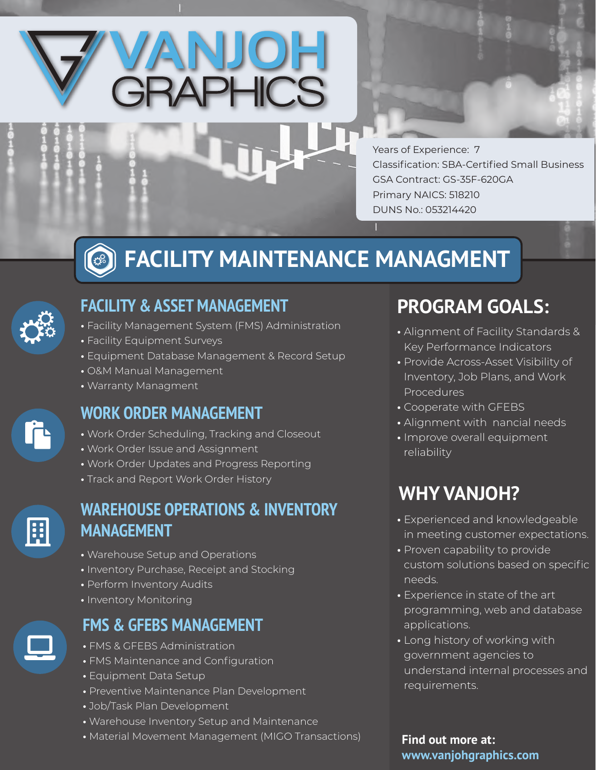

Years of Experience: 7 Classification: SBA-Certified Small Business GSA Contract: GS-35F-620GA Primary NAICS: 518210 DUNS No.: 053214420

#### **FACILITY MAINTENANCE MANAGMENT** 33



# **FACILITY & ASSET MANAGEMENT**

- Facility Management System (FMS) Administration
- Facility Equipment Surveys
- Equipment Database Management & Record Setup
- O&M Manual Management
- Warranty Managment

# **WORK ORDER MANAGEMENT**

- Work Order Scheduling, Tracking and Closeout
- Work Order Issue and Assignment
- Work Order Updates and Progress Reporting
- Track and Report Work Order History



#### **WAREHOUSE OPERATIONS & INVENTORY MANAGEMENT**

- Warehouse Setup and Operations
- Inventory Purchase, Receipt and Stocking
- Perform Inventory Audits
- Inventory Monitoring

# **FMS & GFEBS MANAGEMENT**

- FMS & GFEBS Administration
- FMS Maintenance and Configuration
- Equipment Data Setup
- Preventive Maintenance Plan Development
- Job/Task Plan Development
- Warehouse Inventory Setup and Maintenance
- Material Movement Management (MIGO Transactions)

# **PROGRAM GOALS:**

- Alignment of Facility Standards & Key Performance Indicators
- Provide Across-Asset Visibility of Inventory, Job Plans, and Work Procedures
- Cooperate with GFEBS
- Alignment with nancial needs
- Improve overall equipment reliability

# **WHY VANJOH?**

- Experienced and knowledgeable in meeting customer expectations.
- Proven capability to provide custom solutions based on specific needs.
- Experience in state of the art programming, web and database applications.
- Long history of working with government agencies to understand internal processes and requirements.

**Find out more at: www.vanjohgraphics.com**